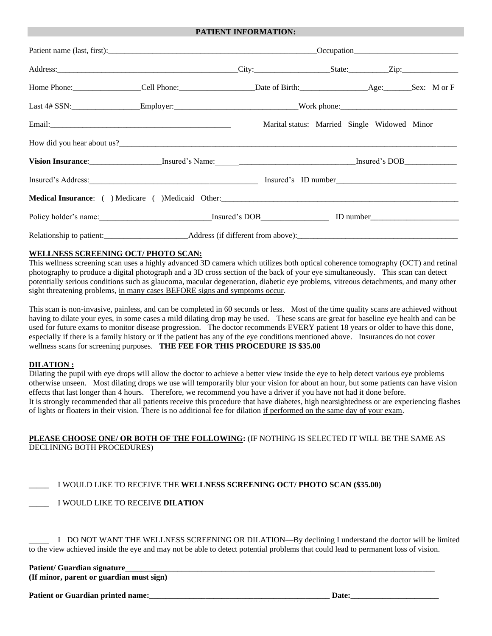#### **PATIENT INFORMATION:**

|  |                                                                                                                                                                                                                                |  | Marital status: Married Single Widowed Minor |  |  |
|--|--------------------------------------------------------------------------------------------------------------------------------------------------------------------------------------------------------------------------------|--|----------------------------------------------|--|--|
|  |                                                                                                                                                                                                                                |  |                                              |  |  |
|  |                                                                                                                                                                                                                                |  |                                              |  |  |
|  | Insured's Address: ID number and Solution of the Material Contract of the Material Contract of the Material Contract of the Material Contract of the Material Contract of the Material Contract of the Material Contract of th |  |                                              |  |  |
|  | Medical Insurance: () Medicare () Medicaid Other:<br>1980 - The Medical Insurance: () Medicare () Medicaid Other:<br>1980 - The Medical Insurance: () Medicare () Medicaid Other:                                              |  |                                              |  |  |
|  |                                                                                                                                                                                                                                |  |                                              |  |  |
|  |                                                                                                                                                                                                                                |  |                                              |  |  |

#### **WELLNESS SCREENING OCT/ PHOTO SCAN:**

This wellness screening scan uses a highly advanced 3D camera which utilizes both optical coherence tomography (OCT) and retinal photography to produce a digital photograph and a 3D cross section of the back of your eye simultaneously. This scan can detect potentially serious conditions such as glaucoma, macular degeneration, diabetic eye problems, vitreous detachments, and many other sight threatening problems, in many cases BEFORE signs and symptoms occur.

This scan is non-invasive, painless, and can be completed in 60 seconds or less. Most of the time quality scans are achieved without having to dilate your eyes, in some cases a mild dilating drop may be used. These scans are great for baseline eye health and can be used for future exams to monitor disease progression. The doctor recommends EVERY patient 18 years or older to have this done, especially if there is a family history or if the patient has any of the eye conditions mentioned above. Insurances do not cover wellness scans for screening purposes. **THE FEE FOR THIS PROCEDURE IS \$35.00**

#### **DILATION :**

Dilating the pupil with eye drops will allow the doctor to achieve a better view inside the eye to help detect various eye problems otherwise unseen. Most dilating drops we use will temporarily blur your vision for about an hour, but some patients can have vision effects that last longer than 4 hours. Therefore, we recommend you have a driver if you have not had it done before. It is strongly recommended that all patients receive this procedure that have diabetes, high nearsightedness or are experiencing flashes of lights or floaters in their vision. There is no additional fee for dilation if performed on the same day of your exam.

## **PLEASE CHOOSE ONE/ OR BOTH OF THE FOLLOWING:** (IF NOTHING IS SELECTED IT WILL BE THE SAME AS DECLINING BOTH PROCEDURES)

### \_\_\_\_\_ I WOULD LIKE TO RECEIVE THE **WELLNESS SCREENING OCT/ PHOTO SCAN (\$35.00)**

\_\_\_\_\_ I WOULD LIKE TO RECEIVE **DILATION**

I DO NOT WANT THE WELLNESS SCREENING OR DILATION—By declining I understand the doctor will be limited to the view achieved inside the eye and may not be able to detect potential problems that could lead to permanent loss of vision.

## Patient/ Guardian signature

**(If minor, parent or guardian must sign)**

**Patient or Guardian printed name: Date: Date: Date: Date: Date: Date: Date: Date: Date: Date: Date: Date: Date: Date: Date: Date: Date: Date: Date: Date: Date: Date: Date: D**